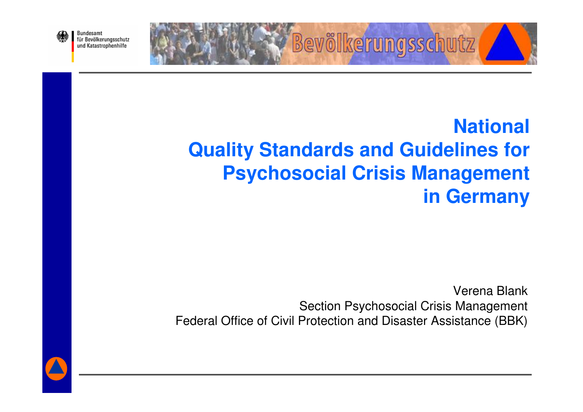

# **NationalQuality Standards and Guidelines for Psychosocial Crisis Management in Germany**

**Bevölkerungsschutz** 

Verena Blank Section Psychosocial Crisis Management Federal Office of Civil Protection and Disaster Assistance (BBK)

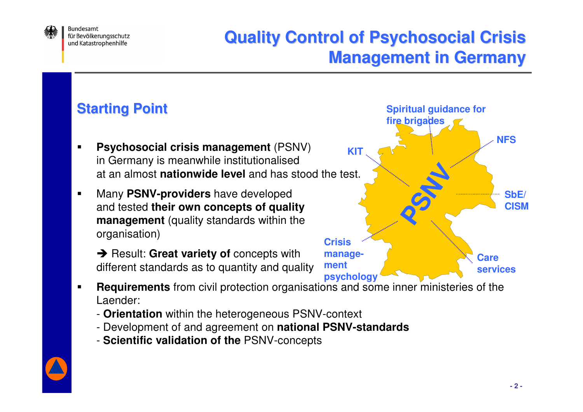

## **Quality Control of Psychosocial Crisis Management in Germany**

# **Starting Point**

- $\blacksquare$  **Psychosocial crisis management** (PSNV) in Germany is meanwhile institutionalisedat an almost **nationwide level** and has stood the test.
- $\blacksquare$  Many **PSNV-providers** have developed and tested **their own concepts of quality management** (quality standards within theorganisation)
	- **→** Result: **Great variety of** concepts with<br>different standards as to quantity and qua different standards as to quantity and quality



**Spiritual guidance for**

- **Requirements** from civil protection organisations and some inner ministeries of the Laender:
	- **Orientation** within the heterogeneous PSNV-context
	- Development of and agreement on **national PSNV-standards**
	- **Scientific validation of the** PSNV-concepts

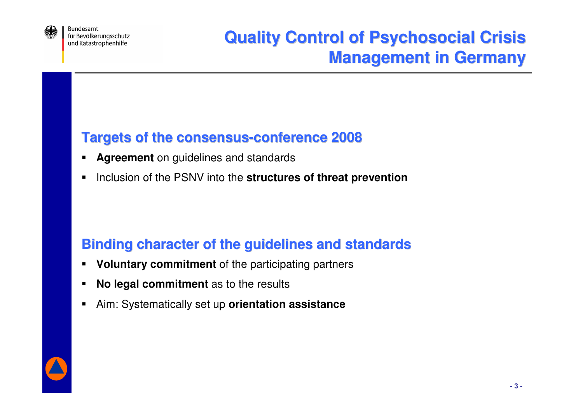

## **Quality Control of Psychosocial Crisis Management in Germany**

# **Targets of the consensus-conference <sup>2008</sup>**

- $\blacksquare$ **Agreement** on guidelines and standards
- $\blacksquare$  $\blacksquare$  Inclusion of the PSNV into the **structures of threat prevention**

# **Binding character of the guidelines and standards**

- $\blacksquare$ **Voluntary commitment** of the participating partners
- $\blacksquare$ **No legal commitment** as to the results
- П Aim: Systematically set up **orientation assistance**

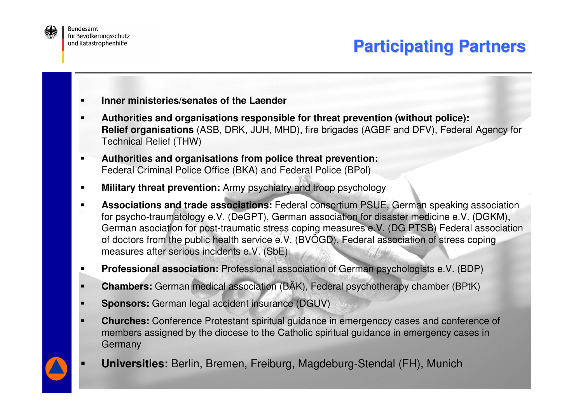

 **4 -**

- **Inner ministeries/senates of the Laender**
- $\blacksquare$  **Authorities and organisations responsible for threat prevention (without police): Relief organisations** (ASB, DRK, JUH, MHD), fire brigades (AGBF and DFV), Federal Agency for Technical Relief (THW)
- $\blacksquare$  **Authorities and organisations from police threat prevention:** Federal Criminal Police Office (BKA) and Federal Police (BPol)
- $\blacksquare$ **Military threat prevention:** Army psychiatry and troop psychology
- $\blacksquare$  **Associations and trade associations:** Federal consortium PSUE, German speaking associationfor psycho-traumatology e.V. (DeGPT), German association for disaster medicine e.V. (DGKM), German asociation for post-traumatic stress coping measures e.V. (DG PTSB) Federal associationof doctors from the public health service e.V. (BVÖGD), Federal association of stress copingmeasures after serious incidents e.V. (SbE)
- $\blacksquare$ **Professional association:** Professional association of German psychologists e.V. (BDP)
- **Chambers:** German medical association (BÄK), Federal psychotherapy chamber (BPtK)

**Universities:** Berlin, Bremen, Freiburg, Magdeburg-Stendal (FH), Munich

- **Sponsors:** German legal accident insurance (DGUV)
- **Churches:** Conference Protestant spiritual guidance in emergenccy cases and conference of members assigned by the diocese to the Catholic spiritual guidance in emergency cases in **Germany**
-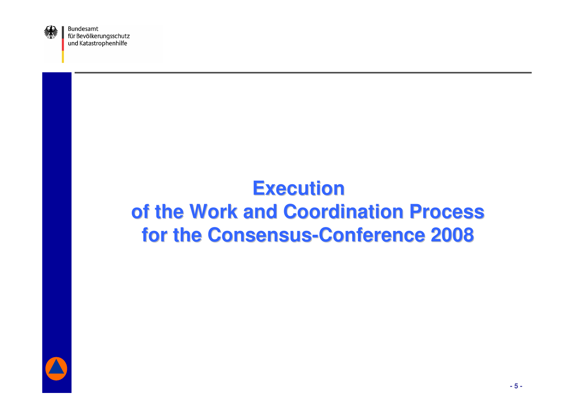

# **Execution of the Work and Coordination Process for the Consensus-Conference <sup>2008</sup>**



**- 5 -**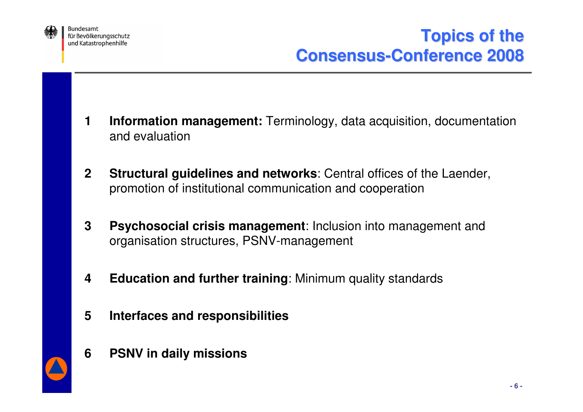

- **1 Information management:** Terminology, data acquisition, documentationand evaluation
- **2 Structural guidelines and networks**: Central offices of the Laender, promotion of institutional communication and cooperation
- **3 Psychosocial crisis management**: Inclusion into management and organisation structures, PSNV-management
- **4 Education and further training**: Minimum quality standards
- **5 Interfaces and responsibilities**
- **6 PSNV in daily missions**

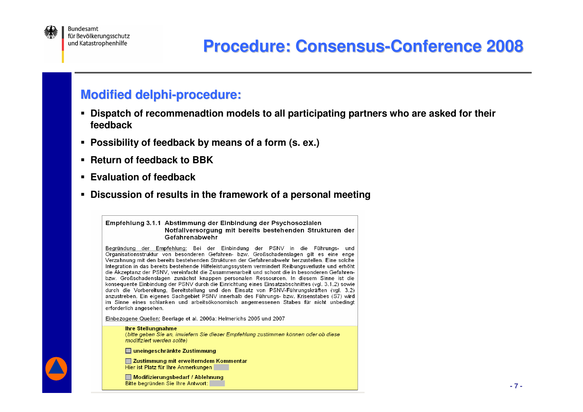

# **Procedure: Consensus-Conference <sup>2008</sup>**

#### **Modified delphi-procedure:**

- **Dispatch of recommenadtion models to all participating partners who are asked for their feedback**
- **Possibility of feedback by means of a form (s. ex.)**
- **Return of feedback to BBK**
- **Evaluation of feedback**
- **Discussion of results in the framework of a personal meeting**

Empfehlung 3.1.1 Abstimmung der Einbindung der Psychosozialen Notfallversorgung mit bereits bestehenden Strukturen der Gefahrenabwehr

Begründung der Empfehlung: Bei der Einbindung der PSNV in die Führungs- und Organisationsstruktur von besonderen Gefahren- bzw. Großschadenslagen gilt es eine enge Verzahnung mit den bereits bestehenden Strukturen der Gefahrenabwehr herzustellen. Eine solche Integration in das bereits bestehende Hilfeleistungssystem vermindert Reibungsverluste und erhöht die Akzeptanz der PSNV, vereinfacht die Zusammenarbeit und schont die in besonderen Gefahrenbzw. Großschadenslagen zunächst knappen personalen Ressourcen. In diesem Sinne ist die konsequente Einbindung der PSNV durch die Einrichtung eines Einsatzabschnittes (vgl. 3.1.2) sowie durch die Vorbereitung, Bereitstellung und den Einsatz von PSNV-Führungskräften (vgl. 3.2) anzustreben. Ein eigenes Sachgebiet PSNV innerhalb des Führungs- bzw. Krisenstabes (S7) wird im Sinne eines schlanken und arbeitsökonomisch angemessenen Stabes für nicht unbedingt erforderlich angesehen.

Einbezogene Quellen: Beerlage et al. 2006a; Helmerichs 2005 und 2007

#### **Ihre Stellungnahme**

(bitte geben Sie an, inwiefern Sie dieser Empfehlung zustimmen können oder ob diese modifiziert werden sollte)

□ uneingeschränkte Zustimmung

 $\Box$  Zustimmung mit erweiterndem Kommentar Hier ist Platz für Ihre Anmerkungen

Modifizierungsbedarf / Ablehnung Bitte begründen Sie Ihre Antwort:

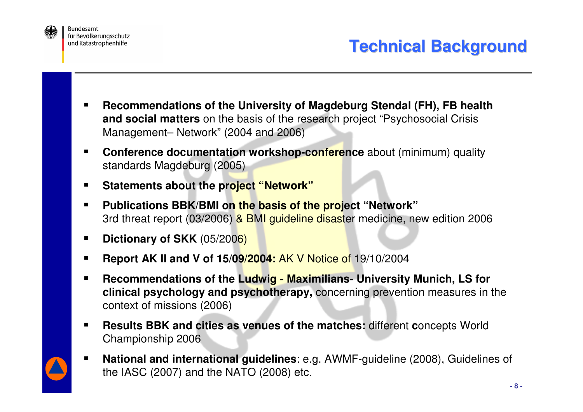

- **Recommendations of the University of Magdeburg Stendal (FH), FB health and social matters** on the basis of the research project "Psychosocial Crisis Management– Network" (2004 and 2006)
- $\blacksquare$  **Conference documentation workshop-conference** about (minimum) quality standards Magdeburg (2005)
- $\blacksquare$ **Statements about the project "Network"**
- $\blacksquare$  **Publications BBK/BMI on the basis of the project "Network"** 3rd threat report (03/2006) & BMI guideline disaster medicine, new edition 2006
- $\blacksquare$ **Dictionary of SKK** (05/2006)
- **Report AK II and V of 15/09/2004:** AK V Notice of 19/10/2004
- $\blacksquare$  **Recommendations of the Ludwig - Maximilians- University Munich, LS for clinical psychology and psychotherapy,** concerning prevention measures in thecontext of missions (2006)
- **Results BBK and cities as venues of the matches:** different **<sup>c</sup>**oncepts World Championship 2006



 **National and international guidelines**: e.g. AWMF-guideline (2008), Guidelines of the IASC (2007) and the NATO (2008) etc.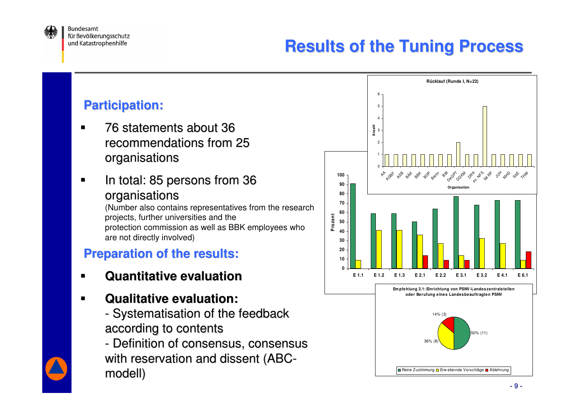

# **Results of the Tuning Process**

#### **Participation:**

- $\blacksquare$ ■ 76 statements about 36 recommendations from 25<br>erganisations organisations
- $\blacksquare$ In total: 85 persons from 36 organisations

 (Number also contains representatives from the researchprojects, further universities and the protection commission as well as BBK employees whoare not directly involved)

### **Preparation of the results:**

- **Quantitative evaluation**
- $\blacksquare$  **Qualitative evaluation:** 
	- Systematisation of the feedback according to contents

- Definition of consensus, consensuswith reservation and dissent (ABC-<br>modell)



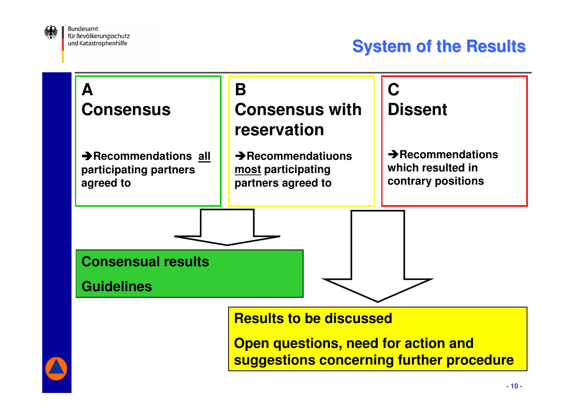

# **System of the Results**

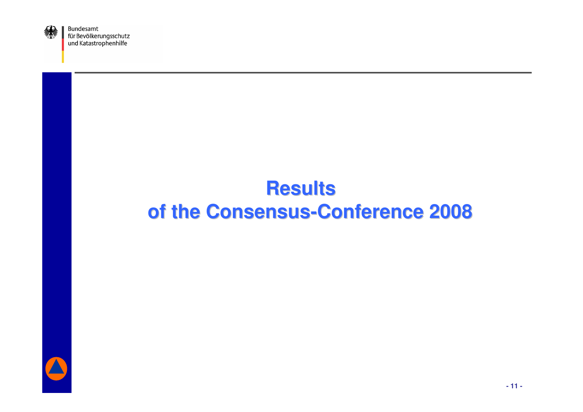

Bundesamt Fundesame<br>für Bevölkerungsschutz<br>und Katastrophenhilfe

# **Resultsof the Consensus-Conference <sup>2008</sup>**



**- 11 -**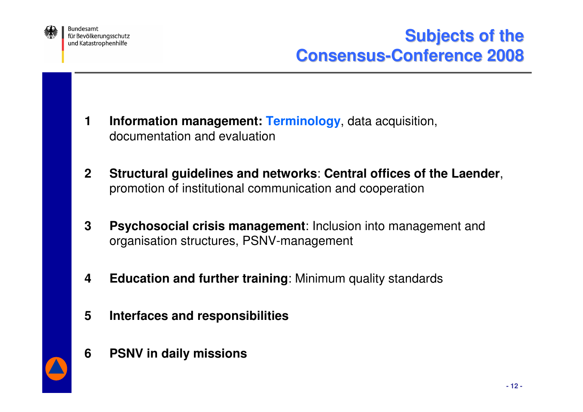

# **Subjects of the Consensus-Conference <sup>2008</sup>**

 **Information management: Terminology**, data acquisition, documentation and evaluation **Structural guidelines and networks**: **Central offices of the Laender**, promotion of institutional communication and cooperation **Psychosocial crisis management**: Inclusion into management and organisation structures, PSNV-management  **Education and further training**: Minimum quality standards **Interfaces and responsibilities PSNV in daily missions**

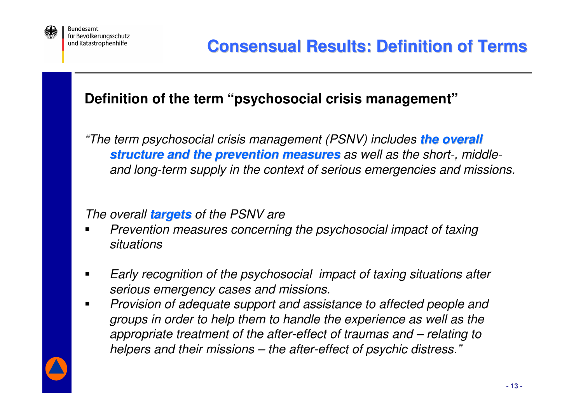

#### **Definition of the term "psychosocial crisis management"**

"The term psychosocial crisis management (PSNV) includes **the overall structure and the prevention measures** as well as the short-, middleand long-term supply in the context of serious emergencies and missions.

#### The overall **targets** of the PSNV are

- **Prevention measures concerning the psychosocial impact of taxing** ■ situations
- Early recognition of the psychosocial impact of taxing situations after serious emergency cases and missions.
- Provision of adequate support and assistance to affected people and groups in order to help them to handle the experience as well as the appropriate treatment of the after-effect of traumas and – relating to helpers and their missions – the after-effect of psychic distress."

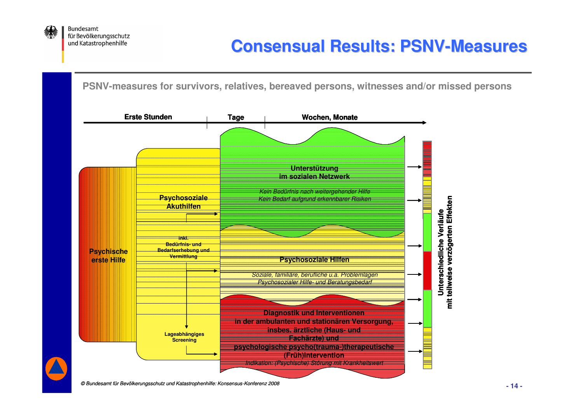

## **Consensual Results: PSNV-Measures**

#### **PSNV-measures for survivors, relatives, bereaved persons, witnesses and/or missed persons**



© Bundesamt für Bevölkerungsschutz und Katastrophenhilfe: Konsensus-Konferenz 2008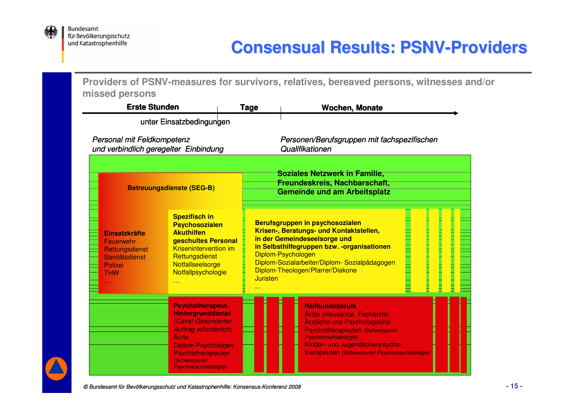

# **Consensual Results: PSNV-Providers**

**Providers of PSNV-measures for survivors, relatives, bereaved persons, witnesses and/ormissed persons**

| <b>Erste Stunden</b>                                                                           |                                                                                                                                                                                                        | <b>Tage</b>                                                                                                  | <b>Wochen, Monate</b>                                                                                                                                                                                                                                               |
|------------------------------------------------------------------------------------------------|--------------------------------------------------------------------------------------------------------------------------------------------------------------------------------------------------------|--------------------------------------------------------------------------------------------------------------|---------------------------------------------------------------------------------------------------------------------------------------------------------------------------------------------------------------------------------------------------------------------|
|                                                                                                | unter Einsatzbedingungen                                                                                                                                                                               |                                                                                                              |                                                                                                                                                                                                                                                                     |
| Personal mit Feldkompetenz<br>und verbindlich geregelter Einbindung                            |                                                                                                                                                                                                        | Personen/Berufsgruppen mit fachspezifischen<br>Qualifikationen                                               |                                                                                                                                                                                                                                                                     |
| <b>Betreuungsdienste (SEG-B)</b>                                                               |                                                                                                                                                                                                        | <b>Soziales Netzwerk in Familie,</b><br>Freundeskreis, Nachbarschaft,<br><b>Gemeinde und am Arbeitsplatz</b> |                                                                                                                                                                                                                                                                     |
| <b>Einsatzkräfte</b><br>Feuerwehr<br>Rettungsdienst<br>Sanitätsdienst<br>Polizei<br><b>THW</b> | <b>Spezifisch in</b><br><b>Psychosozialen</b><br><b>Akuthilfen</b><br>geschultes Personal<br>Krisenintervention im<br>Rettungsdienst<br>Notfallseelsorge<br>Notfallpsychologie<br>$\sim 10$            | <b>Juristen</b>                                                                                              | Berufsgruppen in psychosozialen<br>Krisen-, Beratungs- und Kontaktstellen,<br>in der Gemeindeseelsorge und<br>in Selbsthilfegruppen bzw. - organisationen<br>Diplom-Psychologen<br>Diplom-Sozialarbeiter/Diplom-Sozialpädagogen<br>Diplom-Theologen/Pfarrer/Diakone |
|                                                                                                | <b>Psychotherapeut.</b><br><b>Hintergrunddienst</b><br>(Cavel Gesonderter<br>Auftrag erforderlich)<br><b>Arzte</b><br>Diplom-Psychologen<br>Psychotherapeuten<br>(Schwerpunkt)<br>Psychotraumatologie) |                                                                                                              | <b>Heilkundeberufe</b><br>Ärzte (Hausärzte, Fachärzte)<br>Ärztliche und Psychologische<br>Psychotherapeuten (Schwerpunkt<br>Psychotraumatologie)<br>Kinder- und Jugendlichenpsycho-<br>therapeuten (Schwerpunkt Psychotraumatologie)                                |

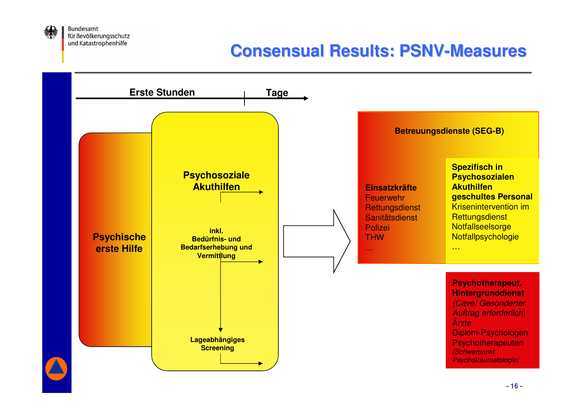

## **Consensual Results: PSNV-Measures**

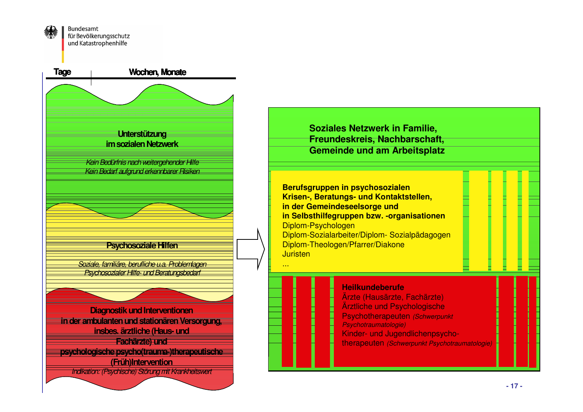

 $\frac{1}{\Box}$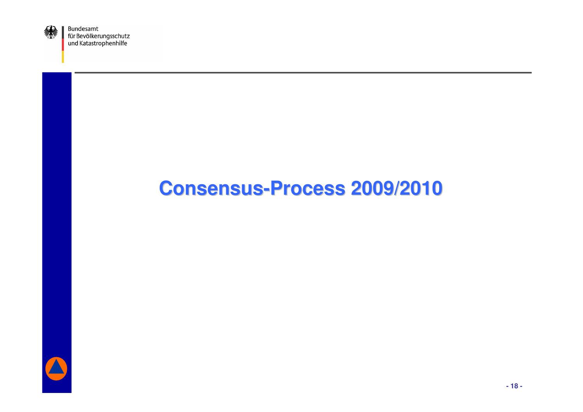

Bundesamt Fundesame<br>für Bevölkerungsschutz<br>und Katastrophenhilfe

# **Consensus-Process 2009/2010**

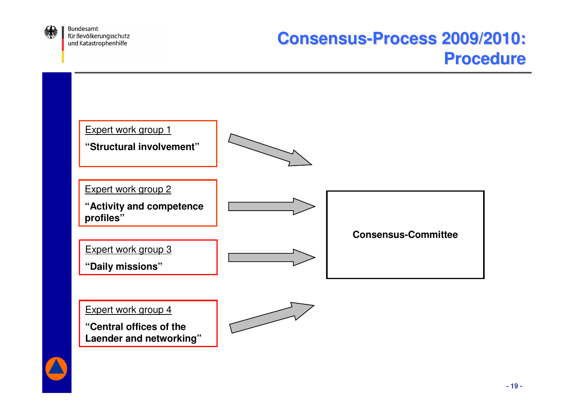

## **Consensus-Process 2009/2010: Procedure**



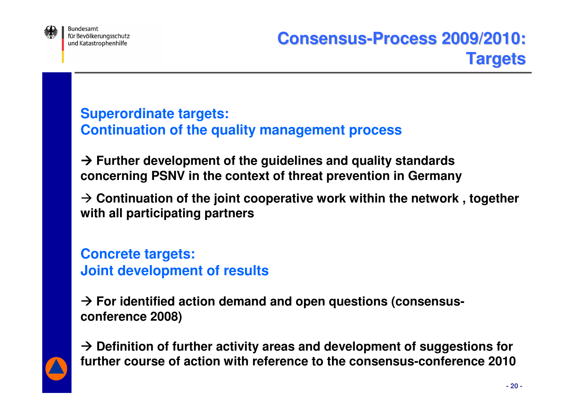

#### **Superordinate targets:Continuation of the quality management process**

 **Further development of the guidelines and quality standards concerning PSNV in the context of threat prevention in Germany**

 $\rightarrow$  Continuation of the joint cooperative work within the network , together<br>with all particinating partners **with all participating partners**

**Concrete targets: Joint development of results**

 $\rightarrow$  For identified action demand and open questions (consensus-<br>conference 2008) **conference 2008)**

 **Definition of further activity areas and development of suggestions for further course of action with reference to the consensus-conference 2010**